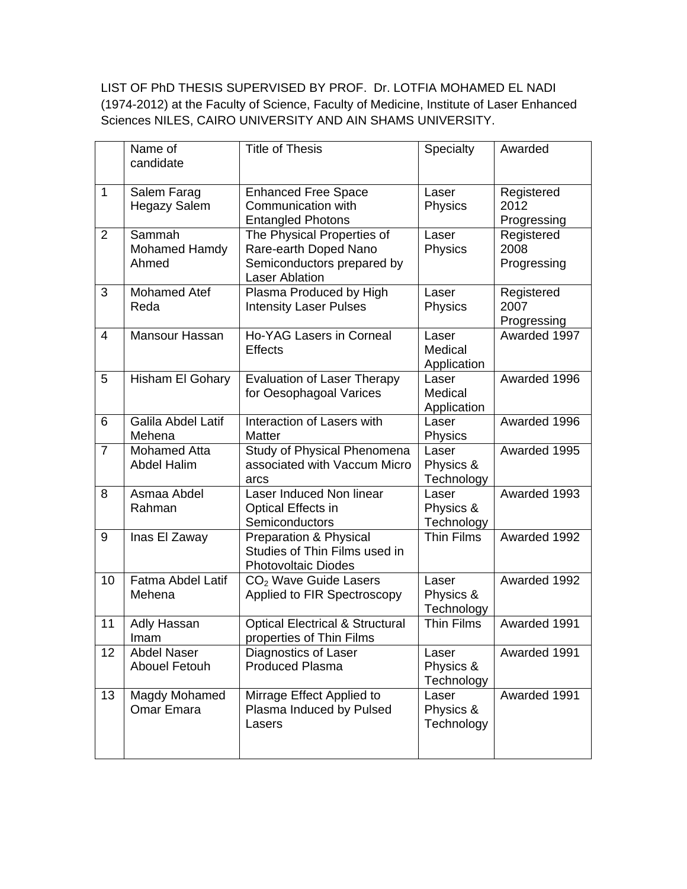LIST OF PhD THESIS SUPERVISED BY PROF. Dr. LOTFIA MOHAMED EL NADI (1974-2012) at the Faculty of Science, Faculty of Medicine, Institute of Laser Enhanced Sciences NILES, CAIRO UNIVERSITY AND AIN SHAMS UNIVERSITY.

|                | Name of<br>candidate                       | <b>Title of Thesis</b>                                                                                     | Specialty                        | Awarded                           |
|----------------|--------------------------------------------|------------------------------------------------------------------------------------------------------------|----------------------------------|-----------------------------------|
| $\mathbf{1}$   | Salem Farag<br><b>Hegazy Salem</b>         | <b>Enhanced Free Space</b><br>Communication with<br><b>Entangled Photons</b>                               | Laser<br>Physics                 | Registered<br>2012<br>Progressing |
| $\overline{2}$ | Sammah<br>Mohamed Hamdy<br>Ahmed           | The Physical Properties of<br>Rare-earth Doped Nano<br>Semiconductors prepared by<br><b>Laser Ablation</b> | Laser<br>Physics                 | Registered<br>2008<br>Progressing |
| 3              | <b>Mohamed Atef</b><br>Reda                | Plasma Produced by High<br><b>Intensity Laser Pulses</b>                                                   | Laser<br>Physics                 | Registered<br>2007<br>Progressing |
| $\overline{4}$ | Mansour Hassan                             | Ho-YAG Lasers in Corneal<br><b>Effects</b>                                                                 | Laser<br>Medical<br>Application  | Awarded 1997                      |
| 5              | Hisham El Gohary                           | <b>Evaluation of Laser Therapy</b><br>for Oesophagoal Varices                                              | Laser<br>Medical<br>Application  | Awarded 1996                      |
| 6              | Galila Abdel Latif<br>Mehena               | Interaction of Lasers with<br><b>Matter</b>                                                                | Laser<br>Physics                 | Awarded 1996                      |
| $\overline{7}$ | <b>Mohamed Atta</b><br><b>Abdel Halim</b>  | Study of Physical Phenomena<br>associated with Vaccum Micro<br>arcs                                        | Laser<br>Physics &<br>Technology | Awarded 1995                      |
| 8              | Asmaa Abdel<br>Rahman                      | Laser Induced Non linear<br><b>Optical Effects in</b><br>Semiconductors                                    | Laser<br>Physics &<br>Technology | Awarded 1993                      |
| 9              | Inas El Zaway                              | Preparation & Physical<br>Studies of Thin Films used in<br><b>Photovoltaic Diodes</b>                      | <b>Thin Films</b>                | Awarded 1992                      |
| 10             | Fatma Abdel Latif<br>Mehena                | $CO2$ Wave Guide Lasers<br>Applied to FIR Spectroscopy                                                     | Laser<br>Physics &<br>Technology | Awarded 1992                      |
| 11             | Adly Hassan<br>Imam                        | <b>Optical Electrical &amp; Structural</b><br>properties of Thin Films                                     | Thin Films                       | Awarded 1991                      |
| 12             | <b>Abdel Naser</b><br><b>Abouel Fetouh</b> | Diagnostics of Laser<br><b>Produced Plasma</b>                                                             | Laser<br>Physics &<br>Technology | Awarded 1991                      |
| 13             | Magdy Mohamed<br><b>Omar Emara</b>         | Mirrage Effect Applied to<br>Plasma Induced by Pulsed<br>Lasers                                            | Laser<br>Physics &<br>Technology | Awarded 1991                      |